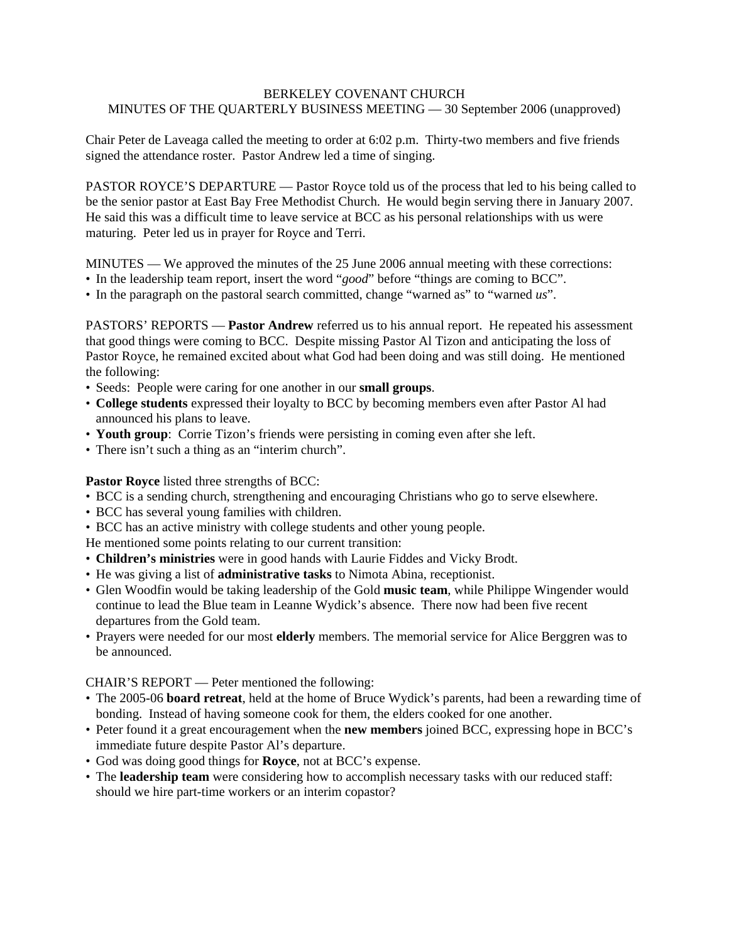## BERKELEY COVENANT CHURCH MINUTES OF THE QUARTERLY BUSINESS MEETING — 30 September 2006 (unapproved)

Chair Peter de Laveaga called the meeting to order at 6:02 p.m. Thirty-two members and five friends signed the attendance roster. Pastor Andrew led a time of singing.

PASTOR ROYCE'S DEPARTURE — Pastor Royce told us of the process that led to his being called to be the senior pastor at East Bay Free Methodist Church. He would begin serving there in January 2007. He said this was a difficult time to leave service at BCC as his personal relationships with us were maturing. Peter led us in prayer for Royce and Terri.

MINUTES — We approved the minutes of the 25 June 2006 annual meeting with these corrections:

- In the leadership team report, insert the word "*good*" before "things are coming to BCC".
- In the paragraph on the pastoral search committed, change "warned as" to "warned *us*".

PASTORS' REPORTS — **Pastor Andrew** referred us to his annual report. He repeated his assessment that good things were coming to BCC. Despite missing Pastor Al Tizon and anticipating the loss of Pastor Royce, he remained excited about what God had been doing and was still doing. He mentioned the following:

- Seeds: People were caring for one another in our **small groups**.
- **College students** expressed their loyalty to BCC by becoming members even after Pastor Al had announced his plans to leave.
- **Youth group**: Corrie Tizon's friends were persisting in coming even after she left.
- There isn't such a thing as an "interim church".

**Pastor Royce** listed three strengths of BCC:

- BCC is a sending church, strengthening and encouraging Christians who go to serve elsewhere.
- BCC has several young families with children.
- BCC has an active ministry with college students and other young people.

He mentioned some points relating to our current transition:

- **Children's ministries** were in good hands with Laurie Fiddes and Vicky Brodt.
- He was giving a list of **administrative tasks** to Nimota Abina, receptionist.
- Glen Woodfin would be taking leadership of the Gold **music team**, while Philippe Wingender would continue to lead the Blue team in Leanne Wydick's absence. There now had been five recent departures from the Gold team.
- Prayers were needed for our most **elderly** members. The memorial service for Alice Berggren was to be announced.

CHAIR'S REPORT — Peter mentioned the following:

- The 2005-06 **board retreat**, held at the home of Bruce Wydick's parents, had been a rewarding time of bonding. Instead of having someone cook for them, the elders cooked for one another.
- Peter found it a great encouragement when the **new members** joined BCC, expressing hope in BCC's immediate future despite Pastor Al's departure.
- God was doing good things for **Royce**, not at BCC's expense.
- The **leadership team** were considering how to accomplish necessary tasks with our reduced staff: should we hire part-time workers or an interim copastor?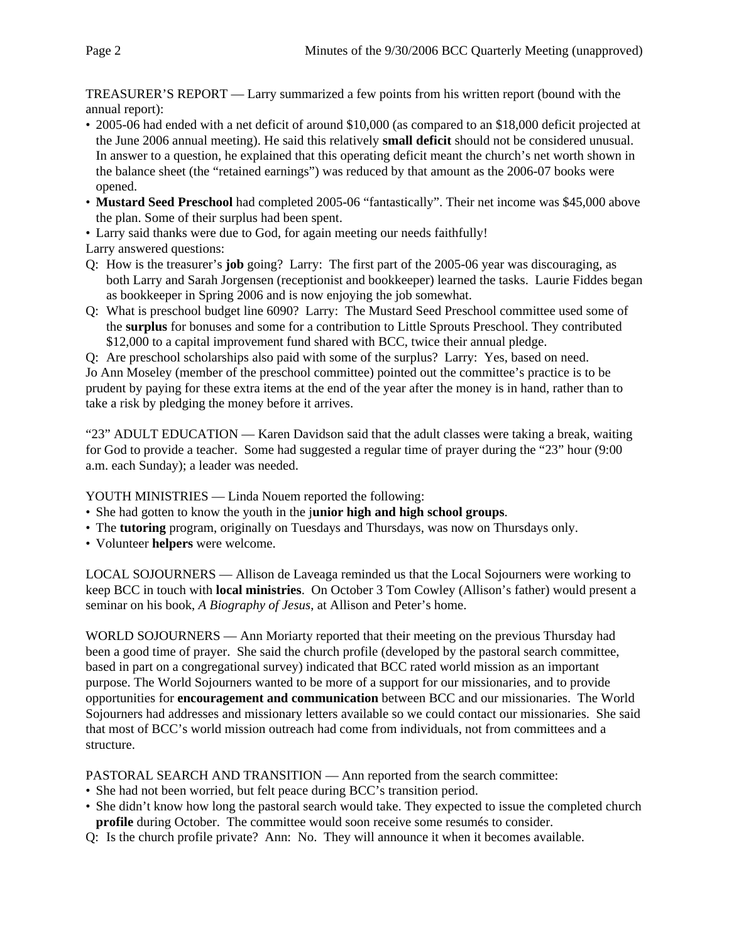TREASURER'S REPORT — Larry summarized a few points from his written report (bound with the annual report):

- 2005-06 had ended with a net deficit of around \$10,000 (as compared to an \$18,000 deficit projected at the June 2006 annual meeting). He said this relatively **small deficit** should not be considered unusual. In answer to a question, he explained that this operating deficit meant the church's net worth shown in the balance sheet (the "retained earnings") was reduced by that amount as the 2006-07 books were opened.
- **Mustard Seed Preschool** had completed 2005-06 "fantastically". Their net income was \$45,000 above the plan. Some of their surplus had been spent.

• Larry said thanks were due to God, for again meeting our needs faithfully!

Larry answered questions:

- Q: How is the treasurer's **job** going? Larry: The first part of the 2005-06 year was discouraging, as both Larry and Sarah Jorgensen (receptionist and bookkeeper) learned the tasks. Laurie Fiddes began as bookkeeper in Spring 2006 and is now enjoying the job somewhat.
- Q: What is preschool budget line 6090? Larry: The Mustard Seed Preschool committee used some of the **surplus** for bonuses and some for a contribution to Little Sprouts Preschool. They contributed \$12,000 to a capital improvement fund shared with BCC, twice their annual pledge.

Q: Are preschool scholarships also paid with some of the surplus? Larry: Yes, based on need.

Jo Ann Moseley (member of the preschool committee) pointed out the committee's practice is to be prudent by paying for these extra items at the end of the year after the money is in hand, rather than to take a risk by pledging the money before it arrives.

"23" ADULT EDUCATION — Karen Davidson said that the adult classes were taking a break, waiting for God to provide a teacher. Some had suggested a regular time of prayer during the "23" hour (9:00 a.m. each Sunday); a leader was needed.

YOUTH MINISTRIES — Linda Nouem reported the following:

- She had gotten to know the youth in the j**unior high and high school groups**.
- The **tutoring** program, originally on Tuesdays and Thursdays, was now on Thursdays only.
- Volunteer **helpers** were welcome.

LOCAL SOJOURNERS — Allison de Laveaga reminded us that the Local Sojourners were working to keep BCC in touch with **local ministries**. On October 3 Tom Cowley (Allison's father) would present a seminar on his book, *A Biography of Jesus*, at Allison and Peter's home.

WORLD SOJOURNERS — Ann Moriarty reported that their meeting on the previous Thursday had been a good time of prayer. She said the church profile (developed by the pastoral search committee, based in part on a congregational survey) indicated that BCC rated world mission as an important purpose. The World Sojourners wanted to be more of a support for our missionaries, and to provide opportunities for **encouragement and communication** between BCC and our missionaries. The World Sojourners had addresses and missionary letters available so we could contact our missionaries. She said that most of BCC's world mission outreach had come from individuals, not from committees and a structure.

PASTORAL SEARCH AND TRANSITION — Ann reported from the search committee:

- She had not been worried, but felt peace during BCC's transition period.
- She didn't know how long the pastoral search would take. They expected to issue the completed church **profile** during October. The committee would soon receive some resumés to consider.
- Q: Is the church profile private? Ann: No. They will announce it when it becomes available.